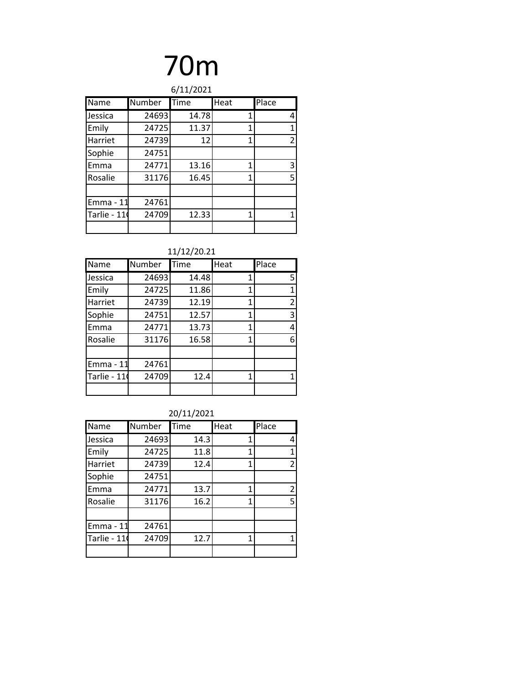| 6/11/2021   |        |       |      |                |
|-------------|--------|-------|------|----------------|
| Name        | Number | Time  | Heat | Place          |
| Jessica     | 24693  | 14.78 | 1    | 4              |
| Emily       | 24725  | 11.37 | 1    | 1              |
| Harriet     | 24739  | 12    | 1    | $\overline{2}$ |
| Sophie      | 24751  |       |      |                |
| Emma        | 24771  | 13.16 | 1    | 3              |
| Rosalie     | 31176  | 16.45 | 1    | 5              |
|             |        |       |      |                |
| Emma - 11   | 24761  |       |      |                |
| Tarlie - 11 | 24709  | 12.33 | 1    | 1              |
|             |        |       |      |                |

### 11/12/20.21

| Name        | Number | Time  | Heat | Place          |
|-------------|--------|-------|------|----------------|
| Jessica     | 24693  | 14.48 | 1    | 5              |
| Emily       | 24725  | 11.86 | 1    | 1              |
| Harriet     | 24739  | 12.19 | 1    | $\overline{2}$ |
| Sophie      | 24751  | 12.57 | 1    | 3              |
| Emma        | 24771  | 13.73 | 1    | 4              |
| Rosalie     | 31176  | 16.58 | 1    | 6              |
|             |        |       |      |                |
| Emma - 11   | 24761  |       |      |                |
| Tarlie - 11 | 24709  | 12.4  | 1    |                |
|             |        |       |      |                |

| Name        | Number | Time | Heat | Place          |
|-------------|--------|------|------|----------------|
| Jessica     | 24693  | 14.3 | 1    | 4              |
| Emily       | 24725  | 11.8 | 1    | 1              |
| Harriet     | 24739  | 12.4 | 1    | 2              |
| Sophie      | 24751  |      |      |                |
| Emma        | 24771  | 13.7 | 1    | $\overline{2}$ |
| Rosalie     | 31176  | 16.2 | 1    | 5              |
|             |        |      |      |                |
| Emma - 11   | 24761  |      |      |                |
| Tarlie - 11 | 24709  | 12.7 | 1    | 1              |
|             |        |      |      |                |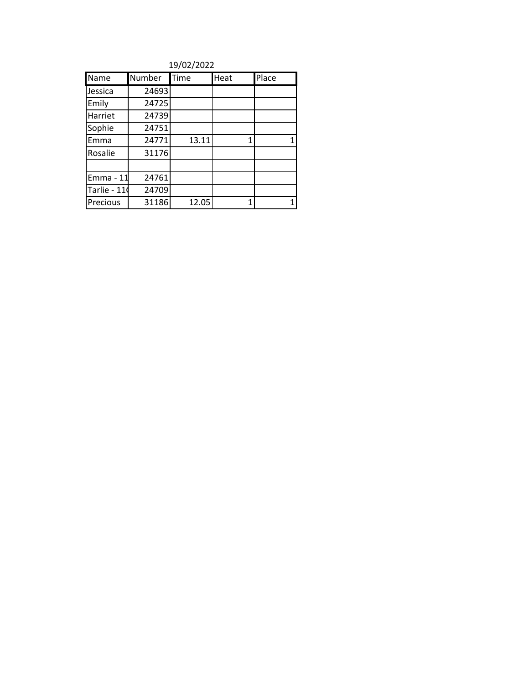19/02/2022

| Name        | <b>Number</b> | Time  | Heat | Place |
|-------------|---------------|-------|------|-------|
| Jessica     | 24693         |       |      |       |
| Emily       | 24725         |       |      |       |
| Harriet     | 24739         |       |      |       |
| Sophie      | 24751         |       |      |       |
| Emma        | 24771         | 13.11 | 1    | 1     |
| Rosalie     | 31176         |       |      |       |
|             |               |       |      |       |
| Emma - 11   | 24761         |       |      |       |
| Tarlie - 11 | 24709         |       |      |       |
| Precious    | 31186         | 12.05 |      | 1     |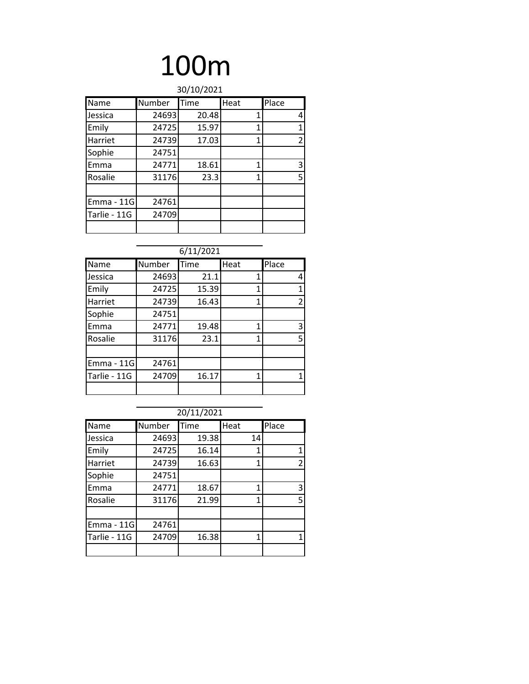| 30/10/2021        |        |       |      |       |  |
|-------------------|--------|-------|------|-------|--|
| Name              | Number | Time  | Heat | Place |  |
| Jessica           | 24693  | 20.48 | 1    | 4     |  |
| Emily             | 24725  | 15.97 | 1    | 1     |  |
| Harriet           | 24739  | 17.03 | 1    | 2     |  |
| Sophie            | 24751  |       |      |       |  |
| Emma              | 24771  | 18.61 | 1    | 3     |  |
| Rosalie           | 31176  | 23.3  | 1    | 5     |  |
|                   |        |       |      |       |  |
| <b>Emma - 11G</b> | 24761  |       |      |       |  |
| Tarlie - 11G      | 24709  |       |      |       |  |
|                   |        |       |      |       |  |

|                   | 6/11/2021 |       |      |       |  |  |
|-------------------|-----------|-------|------|-------|--|--|
| Name              | Number    | Time  | Heat | Place |  |  |
| Jessica           | 24693     | 21.1  | 1    | 4     |  |  |
| Emily             | 24725     | 15.39 | 1    | 1     |  |  |
| Harriet           | 24739     | 16.43 | 1    | 2     |  |  |
| Sophie            | 24751     |       |      |       |  |  |
| Emma              | 24771     | 19.48 | 1    | 3     |  |  |
| Rosalie           | 31176     | 23.1  | 1    | 5     |  |  |
|                   |           |       |      |       |  |  |
| <b>Emma - 11G</b> | 24761     |       |      |       |  |  |
| Tarlie - 11G      | 24709     | 16.17 | 1    |       |  |  |
|                   |           |       |      |       |  |  |

| 20/11/2021        |        |       |      |       |  |
|-------------------|--------|-------|------|-------|--|
| Name              | Number | Time  | Heat | Place |  |
| Jessica           | 24693  | 19.38 | 14   |       |  |
| Emily             | 24725  | 16.14 |      | 1     |  |
| Harriet           | 24739  | 16.63 | 1    | 2     |  |
| Sophie            | 24751  |       |      |       |  |
| Emma              | 24771  | 18.67 | 1    | 3     |  |
| Rosalie           | 31176  | 21.99 | 1    | 5     |  |
|                   |        |       |      |       |  |
| <b>Emma - 11G</b> | 24761  |       |      |       |  |
| Tarlie - 11G      | 24709  | 16.38 | 1    | 1     |  |
|                   |        |       |      |       |  |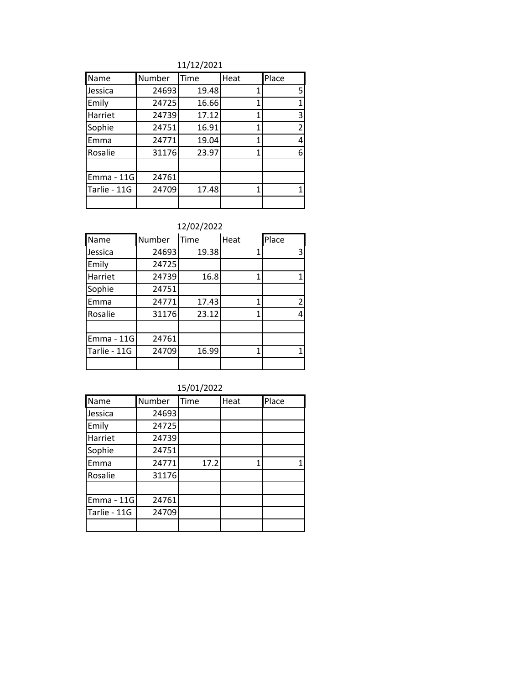11/12/2021

| Name              | Number | Time  | Heat | Place |
|-------------------|--------|-------|------|-------|
| Jessica           | 24693  | 19.48 | 1    | 5.    |
| Emily             | 24725  | 16.66 | 1    |       |
| Harriet           | 24739  | 17.12 | 1    | 3     |
| Sophie            | 24751  | 16.91 | 1    | 2     |
| Emma              | 24771  | 19.04 | 1    | 4     |
| Rosalie           | 31176  | 23.97 | 1    | 6     |
|                   |        |       |      |       |
| <b>Emma - 11G</b> | 24761  |       |      |       |
| Tarlie - 11G      | 24709  | 17.48 | 1    |       |
|                   |        |       |      |       |

| Name              | Number | Time  | Heat | Place          |
|-------------------|--------|-------|------|----------------|
| Jessica           | 24693  | 19.38 |      | 3              |
| Emily             | 24725  |       |      |                |
| Harriet           | 24739  | 16.8  | 1    |                |
| Sophie            | 24751  |       |      |                |
| Emma              | 24771  | 17.43 |      | $\overline{2}$ |
| Rosalie           | 31176  | 23.12 | 1    | 4              |
|                   |        |       |      |                |
| <b>Emma - 11G</b> | 24761  |       |      |                |
| Tarlie - 11G      | 24709  | 16.99 | 1    |                |
|                   |        |       |      |                |

| 15/01/2022   |        |      |      |       |  |
|--------------|--------|------|------|-------|--|
| <b>Name</b>  | Number | Time | Heat | Place |  |
| Jessica      | 24693  |      |      |       |  |
| Emily        | 24725  |      |      |       |  |
| Harriet      | 24739  |      |      |       |  |
| Sophie       | 24751  |      |      |       |  |
| Emma         | 24771  | 17.2 | 1    |       |  |
| Rosalie      | 31176  |      |      |       |  |
|              |        |      |      |       |  |
| Emma - 11G   | 24761  |      |      |       |  |
| Tarlie - 11G | 24709  |      |      |       |  |
|              |        |      |      |       |  |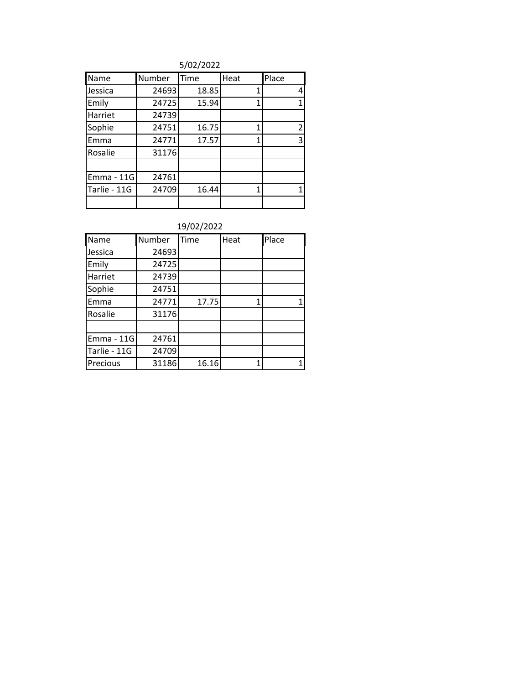| Name              | Number | Time  | Heat | Place        |
|-------------------|--------|-------|------|--------------|
| Jessica           | 24693  | 18.85 | 1    | 4            |
| Emily             | 24725  | 15.94 | 1    | $\mathbf{1}$ |
| Harriet           | 24739  |       |      |              |
| Sophie            | 24751  | 16.75 | 1    | 2            |
| Emma              | 24771  | 17.57 | 1    | 3            |
| Rosalie           | 31176  |       |      |              |
|                   |        |       |      |              |
| <b>Emma - 11G</b> | 24761  |       |      |              |
| Tarlie - 11G      | 24709  | 16.44 | 1    |              |
|                   |        |       |      |              |

| Name              | Number | Time  | Heat | Place |
|-------------------|--------|-------|------|-------|
| Jessica           | 24693  |       |      |       |
| Emily             | 24725  |       |      |       |
| Harriet           | 24739  |       |      |       |
| Sophie            | 24751  |       |      |       |
| Emma              | 24771  | 17.75 | 1    |       |
| Rosalie           | 31176  |       |      |       |
|                   |        |       |      |       |
| <b>Emma - 11G</b> | 24761  |       |      |       |
| Tarlie - 11G      | 24709  |       |      |       |
| Precious          | 31186  | 16.16 |      |       |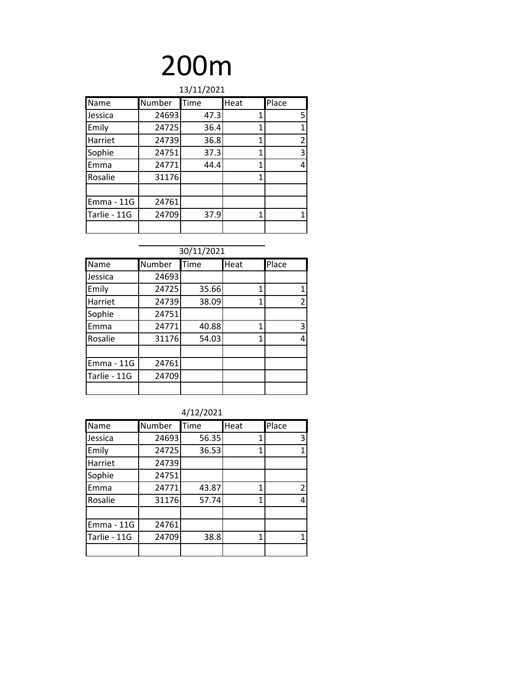| 13/11/2021   |        |      |      |                |
|--------------|--------|------|------|----------------|
| Name         | Number | Time | Heat | Place          |
| Jessica      | 24693  | 47.3 |      | 5              |
| Emily        | 24725  | 36.4 | 1    | $\mathbf{1}$   |
| Harriet      | 24739  | 36.8 | 1    | $\overline{2}$ |
| Sophie       | 24751  | 37.3 | 1    | 3              |
| Emma         | 24771  | 44.4 | 1    | 4              |
| Rosalie      | 31176  |      | 1    |                |
|              |        |      |      |                |
| Emma - 11G   | 24761  |      |      |                |
| Tarlie - 11G | 24709  | 37.9 | 1    | 1              |
|              |        |      |      |                |

| 30/11/2021        |        |       |      |                |  |
|-------------------|--------|-------|------|----------------|--|
| Name              | Number | Time  | Heat | Place          |  |
| Jessica           | 24693  |       |      |                |  |
| Emily             | 24725  | 35.66 | 1    | 1              |  |
| Harriet           | 24739  | 38.09 | 1    | $\overline{2}$ |  |
| Sophie            | 24751  |       |      |                |  |
| Emma              | 24771  | 40.88 | 1    | 3              |  |
| Rosalie           | 31176  | 54.03 | 1    | 4              |  |
|                   |        |       |      |                |  |
| <b>Emma - 11G</b> | 24761  |       |      |                |  |
| Tarlie - 11G      | 24709  |       |      |                |  |
|                   |        |       |      |                |  |

4/12/2021

| Name              | Number | Time  | Heat | Place |
|-------------------|--------|-------|------|-------|
| Jessica           | 24693  | 56.35 | 1    | 3     |
| Emily             | 24725  | 36.53 | 1    | 1     |
| Harriet           | 24739  |       |      |       |
| Sophie            | 24751  |       |      |       |
| Emma              | 24771  | 43.87 | 1    | 2     |
| Rosalie           | 31176  | 57.74 | 1    | 4     |
|                   |        |       |      |       |
| <b>Emma - 11G</b> | 24761  |       |      |       |
| Tarlie - 11G      | 24709  | 38.8  | 1    | 1     |
|                   |        |       |      |       |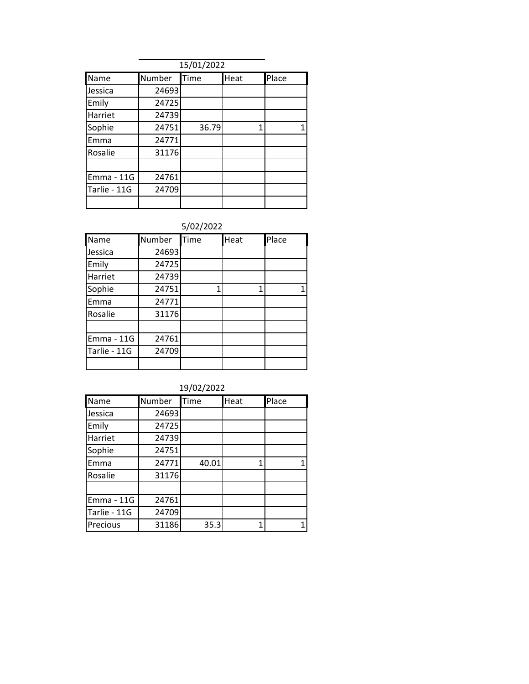|                   | 15/01/2022 |       |      |       |  |  |
|-------------------|------------|-------|------|-------|--|--|
| Name              | Number     | Time  | Heat | Place |  |  |
| Jessica           | 24693      |       |      |       |  |  |
| Emily             | 24725      |       |      |       |  |  |
| Harriet           | 24739      |       |      |       |  |  |
| Sophie            | 24751      | 36.79 |      | 1     |  |  |
| Emma              | 24771      |       |      |       |  |  |
| Rosalie           | 31176      |       |      |       |  |  |
|                   |            |       |      |       |  |  |
| <b>Emma - 11G</b> | 24761      |       |      |       |  |  |
| Tarlie - 11G      | 24709      |       |      |       |  |  |
|                   |            |       |      |       |  |  |

| Name         | Number | <b>Time</b> | Heat | Place |
|--------------|--------|-------------|------|-------|
| Jessica      | 24693  |             |      |       |
| Emily        | 24725  |             |      |       |
| Harriet      | 24739  |             |      |       |
| Sophie       | 24751  | 1           |      | 1     |
| Emma         | 24771  |             |      |       |
| Rosalie      | 31176  |             |      |       |
|              |        |             |      |       |
| Emma - 11G   | 24761  |             |      |       |
| Tarlie - 11G | 24709  |             |      |       |
|              |        |             |      |       |

| 19/02/2022   |        |       |      |       |
|--------------|--------|-------|------|-------|
| Name         | Number | Time  | Heat | Place |
| Jessica      | 24693  |       |      |       |
| Emily        | 24725  |       |      |       |
| Harriet      | 24739  |       |      |       |
| Sophie       | 24751  |       |      |       |
| Emma         | 24771  | 40.01 | 1    | 1     |
| Rosalie      | 31176  |       |      |       |
|              |        |       |      |       |
| Emma - 11G   | 24761  |       |      |       |
| Tarlie - 11G | 24709  |       |      |       |
| Precious     | 31186  | 35.3  | 1    |       |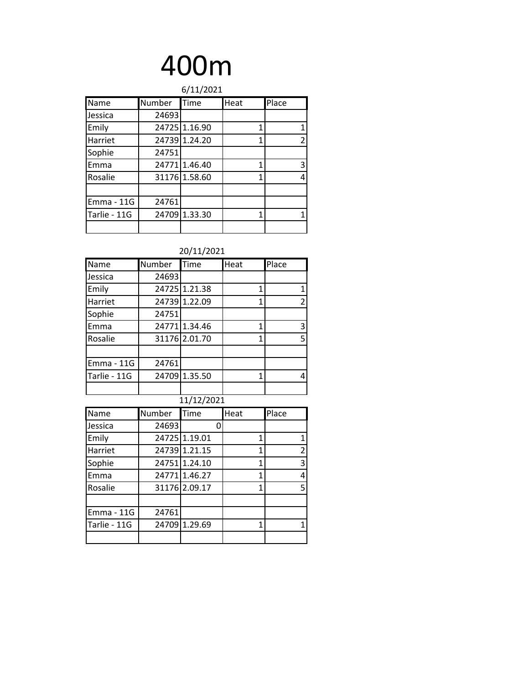| 6/11/2021    |        |               |      |       |
|--------------|--------|---------------|------|-------|
| Name         | Number | Time          | Heat | Place |
| Jessica      | 24693  |               |      |       |
| Emily        |        | 24725 1.16.90 | 1    | 1     |
| Harriet      |        | 24739 1.24.20 | 1    | 2     |
| Sophie       | 24751  |               |      |       |
| Emma         |        | 247711.46.40  | 1    | 3     |
| Rosalie      |        | 31176 1.58.60 | 1    | 4     |
|              |        |               |      |       |
| Emma - 11G   | 24761  |               |      |       |
| Tarlie - 11G |        | 24709 1.33.30 | 1    |       |
|              |        |               |      |       |

| Name         | Number | <b>Time</b>   | Heat         | Place                   |
|--------------|--------|---------------|--------------|-------------------------|
| Jessica      | 24693  |               |              |                         |
| Emily        |        | 24725 1.21.38 | 1            | 1                       |
| Harriet      |        | 24739 1.22.09 | 1            | $\overline{2}$          |
| Sophie       | 24751  |               |              |                         |
| Emma         |        | 24771 1.34.46 | $\mathbf{1}$ | 3                       |
| Rosalie      |        | 31176 2.01.70 | 1            | 5                       |
|              |        |               |              |                         |
| Emma - 11G   | 24761  |               |              |                         |
| Tarlie - 11G |        | 24709 1.35.50 | 1            | 4                       |
|              |        |               |              |                         |
|              |        | 11/12/2021    |              |                         |
| Name         | Number | Time          | Heat         | Place                   |
| Jessica      | 24693  | 0             |              |                         |
| Emily        |        | 24725 1.19.01 | 1            | $\mathbf 1$             |
| Harriet      |        | 24739 1.21.15 | 1            | $\overline{c}$          |
| Sophie       |        | 24751 1.24.10 | 1            | $\overline{\mathbf{3}}$ |
| Emma         |        | 24771 1.46.27 | 1            | 4                       |
| Rosalie      |        | 31176 2.09.17 | 1            | 5                       |

| ,,,,,,       | ,,,,,,,,,, | . 9           | . | . .ucc         |
|--------------|------------|---------------|---|----------------|
| Jessica      | 24693      |               |   |                |
| Emily        |            | 24725 1.19.01 |   | 1              |
| Harriet      |            | 24739 1.21.15 |   | $\overline{2}$ |
| Sophie       |            | 24751 1.24.10 |   | 3              |
| Emma         |            | 24771 1.46.27 |   | 4              |
| Rosalie      |            | 31176 2.09.17 |   | 5              |
|              |            |               |   |                |
| Emma - 11G   | 24761      |               |   |                |
| Tarlie - 11G |            | 24709 1.29.69 |   | 1              |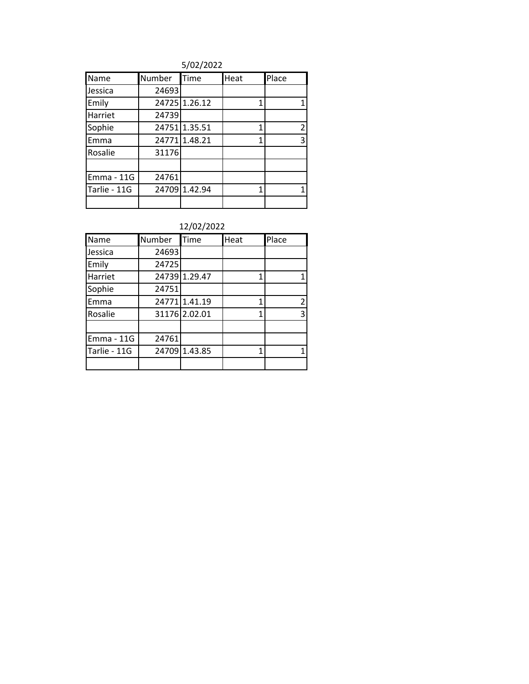5/02/2022

| Name              | Number | <b>Time</b>   | Heat | Place |
|-------------------|--------|---------------|------|-------|
| Jessica           | 24693  |               |      |       |
| Emily             |        | 24725 1.26.12 |      | 1     |
| Harriet           | 24739  |               |      |       |
| Sophie            |        | 24751 1.35.51 |      | 2     |
| Emma              |        | 24771 1.48.21 |      | 3     |
| Rosalie           | 31176  |               |      |       |
|                   |        |               |      |       |
| <b>Emma - 11G</b> | 24761  |               |      |       |
| Tarlie - 11G      |        | 24709 1.42.94 |      |       |
|                   |        |               |      |       |

| 1419412022        |        |               |      |               |
|-------------------|--------|---------------|------|---------------|
| Name              | Number | Time          | Heat | Place         |
| Jessica           | 24693  |               |      |               |
| Emily             | 24725  |               |      |               |
| Harriet           |        | 24739 1.29.47 | 1    |               |
| Sophie            | 24751  |               |      |               |
| Emma              |        | 24771 1.41.19 | 1    | $\mathcal{P}$ |
| Rosalie           |        | 31176 2.02.01 | 1    | 3             |
|                   |        |               |      |               |
| <b>Emma - 11G</b> | 24761  |               |      |               |
| Tarlie - 11G      |        | 24709 1.43.85 | 1    |               |
|                   |        |               |      |               |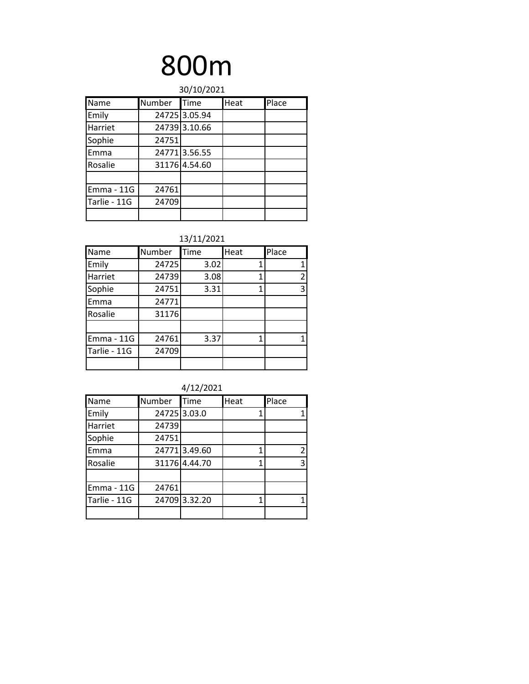| 30/10/2021        |        |               |      |       |
|-------------------|--------|---------------|------|-------|
| Name              | Number | <b>Time</b>   | Heat | Place |
| Emily             |        | 24725 3.05.94 |      |       |
| Harriet           |        | 24739 3.10.66 |      |       |
| Sophie            | 24751  |               |      |       |
| Emma              |        | 247713.56.55  |      |       |
| Rosalie           |        | 31176 4.54.60 |      |       |
|                   |        |               |      |       |
| <b>Emma - 11G</b> | 24761  |               |      |       |
| Tarlie - 11G      | 24709  |               |      |       |
|                   |        |               |      |       |

| 137 117 2021      |        |      |      |       |  |  |  |  |  |
|-------------------|--------|------|------|-------|--|--|--|--|--|
| Name              | Number | Time | Heat | Place |  |  |  |  |  |
| Emily             | 24725  | 3.02 |      |       |  |  |  |  |  |
| Harriet           | 24739  | 3.08 | 1    | 2     |  |  |  |  |  |
| Sophie            | 24751  | 3.31 | 1    | 3     |  |  |  |  |  |
| Emma              | 24771  |      |      |       |  |  |  |  |  |
| Rosalie           | 31176  |      |      |       |  |  |  |  |  |
|                   |        |      |      |       |  |  |  |  |  |
| <b>Emma - 11G</b> | 24761  | 3.37 | 1    |       |  |  |  |  |  |
| Tarlie - 11G      | 24709  |      |      |       |  |  |  |  |  |
|                   |        |      |      |       |  |  |  |  |  |

| 4/12/2021 |
|-----------|
|-----------|

| Name              | Number | <b>Time</b>   | Heat | Place |
|-------------------|--------|---------------|------|-------|
| Emily             |        | 24725 3.03.0  |      | 1     |
| Harriet           | 24739  |               |      |       |
| Sophie            | 24751  |               |      |       |
| Emma              |        | 247713.49.60  | 1    | 2     |
| Rosalie           |        | 31176 4.44.70 | 1    | 3     |
|                   |        |               |      |       |
| <b>Emma - 11G</b> | 24761  |               |      |       |
| Tarlie - 11G      |        | 24709 3.32.20 |      |       |
|                   |        |               |      |       |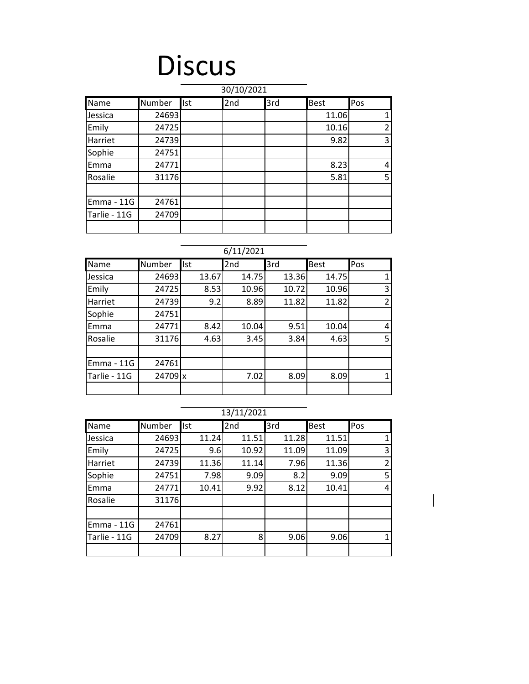### Discus

| 30/10/2021   |        |            |     |     |       |                |  |  |  |
|--------------|--------|------------|-----|-----|-------|----------------|--|--|--|
| Name         | Number | <b>Ist</b> | 2nd | 3rd | Best  | Pos            |  |  |  |
| Jessica      | 24693  |            |     |     | 11.06 |                |  |  |  |
| Emily        | 24725  |            |     |     | 10.16 | $\overline{2}$ |  |  |  |
| Harriet      | 24739  |            |     |     | 9.82  | 3              |  |  |  |
| Sophie       | 24751  |            |     |     |       |                |  |  |  |
| Emma         | 24771  |            |     |     | 8.23  | 4              |  |  |  |
| Rosalie      | 31176  |            |     |     | 5.81  | 5              |  |  |  |
|              |        |            |     |     |       |                |  |  |  |
| Emma - 11G   | 24761  |            |     |     |       |                |  |  |  |
| Tarlie - 11G | 24709  |            |     |     |       |                |  |  |  |
|              |        |            |     |     |       |                |  |  |  |

### 6/11/2021

| Name              | Number  | Ist   | 2nd   | 3rd   | <b>Best</b> | Pos           |
|-------------------|---------|-------|-------|-------|-------------|---------------|
| Jessica           | 24693   | 13.67 | 14.75 | 13.36 | 14.75       |               |
| Emily             | 24725   | 8.53  | 10.96 | 10.72 | 10.96       | 3             |
| Harriet           | 24739   | 9.2   | 8.89  | 11.82 | 11.82       | $\mathcal{P}$ |
| Sophie            | 24751   |       |       |       |             |               |
| Emma              | 24771   | 8.42  | 10.04 | 9.51  | 10.04       | 4             |
| Rosalie           | 31176   | 4.63  | 3.45  | 3.84  | 4.63        | 5             |
|                   |         |       |       |       |             |               |
| <b>Emma - 11G</b> | 24761   |       |       |       |             |               |
| Tarlie - 11G      | 24709 x |       | 7.02  | 8.09  | 8.09        |               |
|                   |         |       |       |       |             |               |

|              | 13/11/2021 |            |       |       |             |                |  |  |  |
|--------------|------------|------------|-------|-------|-------------|----------------|--|--|--|
| Name         | Number     | <b>Ist</b> | 2nd   | 3rd   | <b>Best</b> | Pos            |  |  |  |
| Jessica      | 24693      | 11.24      | 11.51 | 11.28 | 11.51       | 1              |  |  |  |
| Emily        | 24725      | 9.6        | 10.92 | 11.09 | 11.09       | 3              |  |  |  |
| Harriet      | 24739      | 11.36      | 11.14 | 7.96  | 11.36       | $\overline{2}$ |  |  |  |
| Sophie       | 24751      | 7.98       | 9.09  | 8.2   | 9.09        | 5              |  |  |  |
| Emma         | 24771      | 10.41      | 9.92  | 8.12  | 10.41       | 4              |  |  |  |
| Rosalie      | 31176      |            |       |       |             |                |  |  |  |
|              |            |            |       |       |             |                |  |  |  |
| Emma - 11G   | 24761      |            |       |       |             |                |  |  |  |
| Tarlie - 11G | 24709      | 8.27       | 8     | 9.06  | 9.06        | $\mathbf{1}$   |  |  |  |
|              |            |            |       |       |             |                |  |  |  |

 $\overline{\phantom{a}}$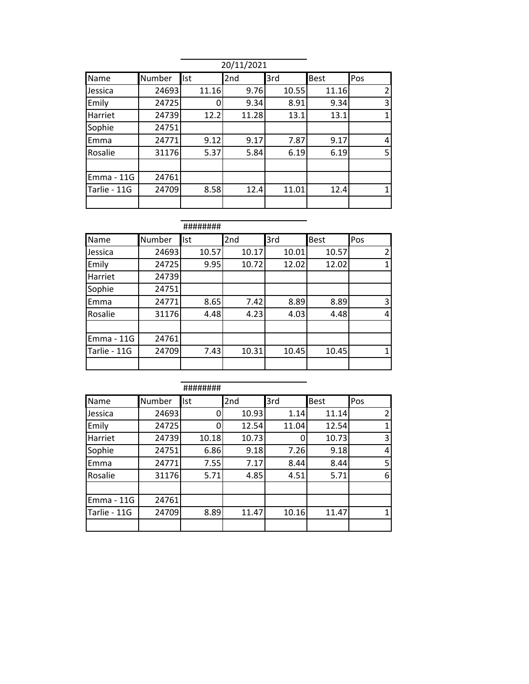| 20/11/2021        |        |            |       |       |             |                |  |  |
|-------------------|--------|------------|-------|-------|-------------|----------------|--|--|
| Name              | Number | <b>Ist</b> | 2nd   | 3rd   | <b>Best</b> | Pos            |  |  |
| Jessica           | 24693  | 11.16      | 9.76  | 10.55 | 11.16       | $\overline{2}$ |  |  |
| Emily             | 24725  |            | 9.34  | 8.91  | 9.34        | 3              |  |  |
| Harriet           | 24739  | 12.2       | 11.28 | 13.1  | 13.1        | $\mathbf{1}$   |  |  |
| Sophie            | 24751  |            |       |       |             |                |  |  |
| Emma              | 24771  | 9.12       | 9.17  | 7.87  | 9.17        | 4              |  |  |
| Rosalie           | 31176  | 5.37       | 5.84  | 6.19  | 6.19        | 5              |  |  |
|                   |        |            |       |       |             |                |  |  |
| <b>Emma - 11G</b> | 24761  |            |       |       |             |                |  |  |
| Tarlie - 11G      | 24709  | 8.58       | 12.4  | 11.01 | 12.4        | 1              |  |  |
|                   |        |            |       |       |             |                |  |  |

|              |        | ########   |       |       |             |     |
|--------------|--------|------------|-------|-------|-------------|-----|
| Name         | Number | <b>Ist</b> | 2nd   | 3rd   | <b>Best</b> | Pos |
| Jessica      | 24693  | 10.57      | 10.17 | 10.01 | 10.57       | 2   |
| Emily        | 24725  | 9.95       | 10.72 | 12.02 | 12.02       | 1   |
| Harriet      | 24739  |            |       |       |             |     |
| Sophie       | 24751  |            |       |       |             |     |
| Emma         | 24771  | 8.65       | 7.42  | 8.89  | 8.89        | 3   |
| Rosalie      | 31176  | 4.48       | 4.23  | 4.03  | 4.48        | 4   |
|              |        |            |       |       |             |     |
| $Emma - 11G$ | 24761  |            |       |       |             |     |
| Tarlie - 11G | 24709  | 7.43       | 10.31 | 10.45 | 10.45       | 1   |
|              |        |            |       |       |             |     |

|                   |        | ########   |       |       |             |     |
|-------------------|--------|------------|-------|-------|-------------|-----|
| Name              | Number | <b>Ist</b> | 2nd   | 3rd   | <b>Best</b> | Pos |
| Jessica           | 24693  | 0          | 10.93 | 1.14  | 11.14       | 2   |
| Emily             | 24725  | 0          | 12.54 | 11.04 | 12.54       | 1   |
| Harriet           | 24739  | 10.18      | 10.73 |       | 10.73       | 3   |
| Sophie            | 24751  | 6.86       | 9.18  | 7.26  | 9.18        | 4   |
| Emma              | 24771  | 7.55       | 7.17  | 8.44  | 8.44        | 5   |
| Rosalie           | 31176  | 5.71       | 4.85  | 4.51  | 5.71        | 6   |
|                   |        |            |       |       |             |     |
| <b>Emma - 11G</b> | 24761  |            |       |       |             |     |
| Tarlie - 11G      | 24709  | 8.89       | 11.47 | 10.16 | 11.47       | 1   |
|                   |        |            |       |       |             |     |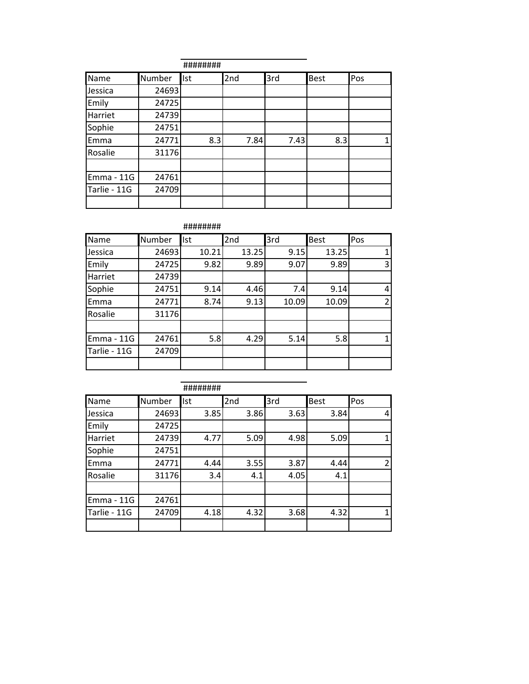|              |        | ########   |      |      |             |     |
|--------------|--------|------------|------|------|-------------|-----|
| Name         | Number | <b>Ist</b> | 2nd  | 3rd  | <b>Best</b> | Pos |
| Jessica      | 24693  |            |      |      |             |     |
| Emily        | 24725  |            |      |      |             |     |
| Harriet      | 24739  |            |      |      |             |     |
| Sophie       | 24751  |            |      |      |             |     |
| Emma         | 24771  | 8.3        | 7.84 | 7.43 | 8.3         |     |
| Rosalie      | 31176  |            |      |      |             |     |
|              |        |            |      |      |             |     |
| Emma - 11G   | 24761  |            |      |      |             |     |
| Tarlie - 11G | 24709  |            |      |      |             |     |
|              |        |            |      |      |             |     |

########

| Name         | Number | Ist   | 2nd   | 3rd   | <b>Best</b> | Pos            |
|--------------|--------|-------|-------|-------|-------------|----------------|
| Jessica      | 24693  | 10.21 | 13.25 | 9.15  | 13.25       |                |
| Emily        | 24725  | 9.82  | 9.89  | 9.07  | 9.89        | 3              |
| Harriet      | 24739  |       |       |       |             |                |
| Sophie       | 24751  | 9.14  | 4.46  | 7.4   | 9.14        | 4              |
| Emma         | 24771  | 8.74  | 9.13  | 10.09 | 10.09       | $\overline{2}$ |
| Rosalie      | 31176  |       |       |       |             |                |
|              |        |       |       |       |             |                |
| Emma - 11G   | 24761  | 5.8   | 4.29  | 5.14  | 5.8         |                |
| Tarlie - 11G | 24709  |       |       |       |             |                |
|              |        |       |       |       |             |                |

|              |        | ######## |      |      |      |                |
|--------------|--------|----------|------|------|------|----------------|
| Name         | Number | Ist      | 2nd  | 3rd  | Best | Pos            |
| Jessica      | 24693  | 3.85     | 3.86 | 3.63 | 3.84 | 4              |
| Emily        | 24725  |          |      |      |      |                |
| Harriet      | 24739  | 4.77     | 5.09 | 4.98 | 5.09 | $\mathbf{1}$   |
| Sophie       | 24751  |          |      |      |      |                |
| Emma         | 24771  | 4.44     | 3.55 | 3.87 | 4.44 | $\overline{2}$ |
| Rosalie      | 31176  | 3.4      | 4.1  | 4.05 | 4.1  |                |
|              |        |          |      |      |      |                |
| Emma - 11G   | 24761  |          |      |      |      |                |
| Tarlie - 11G | 24709  | 4.18     | 4.32 | 3.68 | 4.32 | 1              |
|              |        |          |      |      |      |                |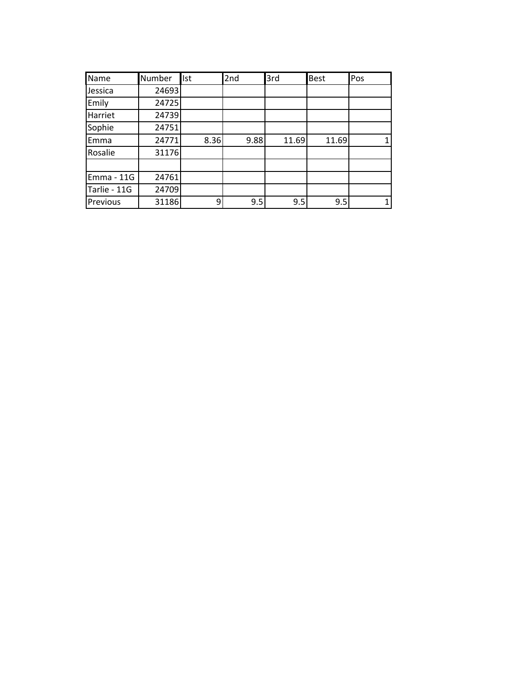| Name         | Number | llst | 2nd  | 3rd   | <b>Best</b> | Pos |
|--------------|--------|------|------|-------|-------------|-----|
| Jessica      | 24693  |      |      |       |             |     |
| Emily        | 24725  |      |      |       |             |     |
| Harriet      | 24739  |      |      |       |             |     |
| Sophie       | 24751  |      |      |       |             |     |
| Emma         | 24771  | 8.36 | 9.88 | 11.69 | 11.69       |     |
| Rosalie      | 31176  |      |      |       |             |     |
|              |        |      |      |       |             |     |
| Emma - 11G   | 24761  |      |      |       |             |     |
| Tarlie - 11G | 24709  |      |      |       |             |     |
| Previous     | 31186  | 9    | 9.5  | 9.5   | 9.5         |     |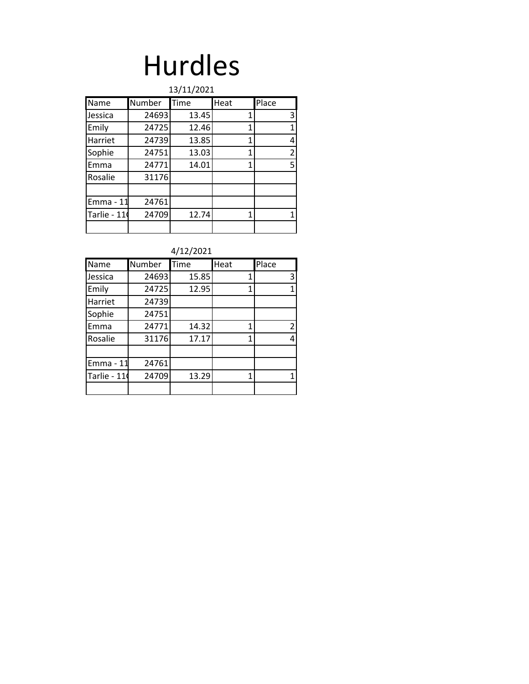# Hurdles

|             | 13/11/2021 |       |      |       |  |  |  |  |  |  |  |
|-------------|------------|-------|------|-------|--|--|--|--|--|--|--|
| Name        | Number     | Time  | Heat | Place |  |  |  |  |  |  |  |
| Jessica     | 24693      | 13.45 | 1    | 3     |  |  |  |  |  |  |  |
| Emily       | 24725      | 12.46 | 1    | 1     |  |  |  |  |  |  |  |
| Harriet     | 24739      | 13.85 | 1    | 4     |  |  |  |  |  |  |  |
| Sophie      | 24751      | 13.03 | 1    | 2     |  |  |  |  |  |  |  |
| Emma        | 24771      | 14.01 | 1    | 5     |  |  |  |  |  |  |  |
| Rosalie     | 31176      |       |      |       |  |  |  |  |  |  |  |
|             |            |       |      |       |  |  |  |  |  |  |  |
| Emma - 11   | 24761      |       |      |       |  |  |  |  |  |  |  |
| Tarlie - 11 | 24709      | 12.74 | 1    | 1     |  |  |  |  |  |  |  |
|             |            |       |      |       |  |  |  |  |  |  |  |

| 4/12/2021 |
|-----------|
|-----------|

| Name        | Number | Time  | Heat | Place |
|-------------|--------|-------|------|-------|
| Jessica     | 24693  | 15.85 | 1    | 3     |
| Emily       | 24725  | 12.95 | 1    |       |
| Harriet     | 24739  |       |      |       |
| Sophie      | 24751  |       |      |       |
| Emma        | 24771  | 14.32 | 1    | 2     |
| Rosalie     | 31176  | 17.17 | 1    | 4     |
|             |        |       |      |       |
| Emma - 11   | 24761  |       |      |       |
| Tarlie - 11 | 24709  | 13.29 | 1    |       |
|             |        |       |      |       |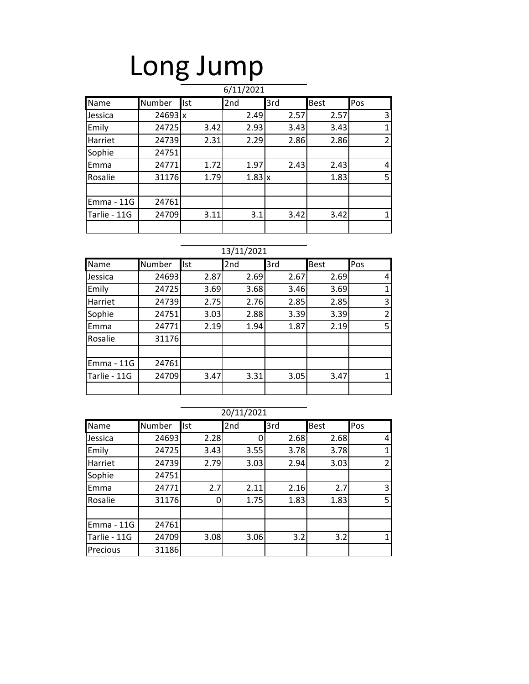# Long Jump

|              |                |            | 6/11/2021     |      |             |                |
|--------------|----------------|------------|---------------|------|-------------|----------------|
| Name         | Number         | <b>Ist</b> | 2nd           | 3rd  | <b>Best</b> | Pos            |
| Jessica      | $24693 \times$ |            | 2.49          | 2.57 | 2.57        | 3              |
| Emily        | 24725          | 3.42       | 2.93          | 3.43 | 3.43        | 1              |
| Harriet      | 24739          | 2.31       | 2.29          | 2.86 | 2.86        | $\overline{2}$ |
| Sophie       | 24751          |            |               |      |             |                |
| Emma         | 24771          | 1.72       | 1.97          | 2.43 | 2.43        | 4              |
| Rosalie      | 31176          | 1.79       | $1.83 \times$ |      | 1.83        | 5              |
|              |                |            |               |      |             |                |
| Emma - 11G   | 24761          |            |               |      |             |                |
| Tarlie - 11G | 24709          | 3.11       | 3.1           | 3.42 | 3.42        | 1              |
|              |                |            |               |      |             |                |

### 13/11/2021

| Name              | Number | <b>Ist</b> | 2nd  | 3rd  | <b>Best</b> | Pos                      |
|-------------------|--------|------------|------|------|-------------|--------------------------|
| Jessica           | 24693  | 2.87       | 2.69 | 2.67 | 2.69        | 4                        |
| Emily             | 24725  | 3.69       | 3.68 | 3.46 | 3.69        |                          |
| Harriet           | 24739  | 2.75       | 2.76 | 2.85 | 2.85        | 3                        |
| Sophie            | 24751  | 3.03       | 2.88 | 3.39 | 3.39        | $\overline{\phantom{a}}$ |
| Emma              | 24771  | 2.19       | 1.94 | 1.87 | 2.19        | 5                        |
| Rosalie           | 31176  |            |      |      |             |                          |
|                   |        |            |      |      |             |                          |
| <b>Emma - 11G</b> | 24761  |            |      |      |             |                          |
| Tarlie - 11G      | 24709  | 3.47       | 3.31 | 3.05 | 3.47        |                          |
|                   |        |            |      |      |             |                          |

|              |        |            | 20/11/2021 |      |             |                |
|--------------|--------|------------|------------|------|-------------|----------------|
| Name         | Number | <b>Ist</b> | 2nd        | 3rd  | <b>Best</b> | Pos            |
| Jessica      | 24693  | 2.28       |            | 2.68 | 2.68        | 4              |
| Emily        | 24725  | 3.43       | 3.55       | 3.78 | 3.78        |                |
| Harriet      | 24739  | 2.79       | 3.03       | 2.94 | 3.03        | $\overline{2}$ |
| Sophie       | 24751  |            |            |      |             |                |
| Emma         | 24771  | 2.7        | 2.11       | 2.16 | 2.7         | 3              |
| Rosalie      | 31176  | 0          | 1.75       | 1.83 | 1.83        | 5              |
|              |        |            |            |      |             |                |
| Emma - 11G   | 24761  |            |            |      |             |                |
| Tarlie - 11G | 24709  | 3.08       | 3.06       | 3.2  | 3.2         |                |
| Precious     | 31186  |            |            |      |             |                |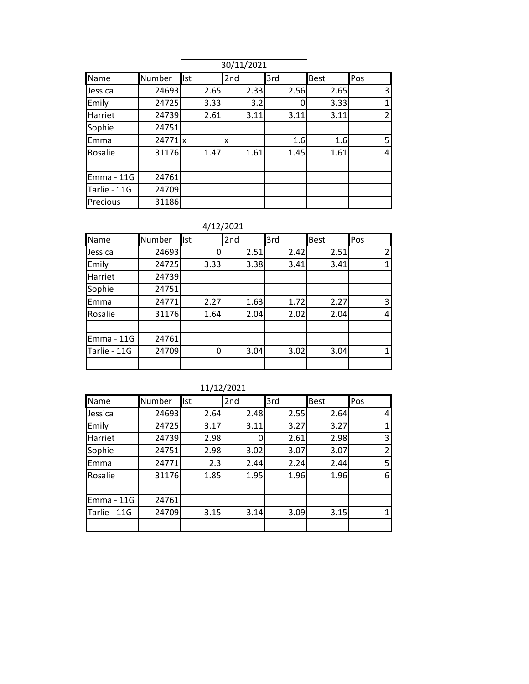|              | 30/11/2021           |      |      |      |             |              |  |  |
|--------------|----------------------|------|------|------|-------------|--------------|--|--|
| Name         | Number               | Ist  | 2nd  | 3rd  | <b>Best</b> | Pos          |  |  |
| Jessica      | 24693                | 2.65 | 2.33 | 2.56 | 2.65        | 3            |  |  |
| Emily        | 24725                | 3.33 | 3.2  |      | 3.33        | $\mathbf{1}$ |  |  |
| Harriet      | 24739                | 2.61 | 3.11 | 3.11 | 3.11        | 2            |  |  |
| Sophie       | 24751                |      |      |      |             |              |  |  |
| Emma         | $24771$ <sub>x</sub> |      | x    | 1.6  | 1.6         | 5            |  |  |
| Rosalie      | 31176                | 1.47 | 1.61 | 1.45 | 1.61        | 4            |  |  |
|              |                      |      |      |      |             |              |  |  |
| Emma - 11G   | 24761                |      |      |      |             |              |  |  |
| Tarlie - 11G | 24709                |      |      |      |             |              |  |  |
| Precious     | 31186                |      |      |      |             |              |  |  |

4/12/2021

| Name         | Number | Ist  | 2nd  | 3rd  | <b>Best</b> | Pos |
|--------------|--------|------|------|------|-------------|-----|
| Jessica      | 24693  | 0    | 2.51 | 2.42 | 2.51        |     |
| Emily        | 24725  | 3.33 | 3.38 | 3.41 | 3.41        |     |
| Harriet      | 24739  |      |      |      |             |     |
| Sophie       | 24751  |      |      |      |             |     |
| Emma         | 24771  | 2.27 | 1.63 | 1.72 | 2.27        | 3   |
| Rosalie      | 31176  | 1.64 | 2.04 | 2.02 | 2.04        |     |
|              |        |      |      |      |             |     |
| Emma - 11G   | 24761  |      |      |      |             |     |
| Tarlie - 11G | 24709  | 0    | 3.04 | 3.02 | 3.04        |     |
|              |        |      |      |      |             |     |

|              | 11/12/2021 |            |      |      |      |                |  |  |  |
|--------------|------------|------------|------|------|------|----------------|--|--|--|
| Name         | Number     | <b>Ist</b> | 2nd  | 3rd  | Best | Pos            |  |  |  |
| Jessica      | 24693      | 2.64       | 2.48 | 2.55 | 2.64 | 4              |  |  |  |
| Emily        | 24725      | 3.17       | 3.11 | 3.27 | 3.27 | 1              |  |  |  |
| Harriet      | 24739      | 2.98       |      | 2.61 | 2.98 | 3              |  |  |  |
| Sophie       | 24751      | 2.98       | 3.02 | 3.07 | 3.07 | $\overline{2}$ |  |  |  |
| Emma         | 24771      | 2.3        | 2.44 | 2.24 | 2.44 | 5              |  |  |  |
| Rosalie      | 31176      | 1.85       | 1.95 | 1.96 | 1.96 | 6              |  |  |  |
|              |            |            |      |      |      |                |  |  |  |
| Emma - 11G   | 24761      |            |      |      |      |                |  |  |  |
| Tarlie - 11G | 24709      | 3.15       | 3.14 | 3.09 | 3.15 |                |  |  |  |
|              |            |            |      |      |      |                |  |  |  |

11/12/2021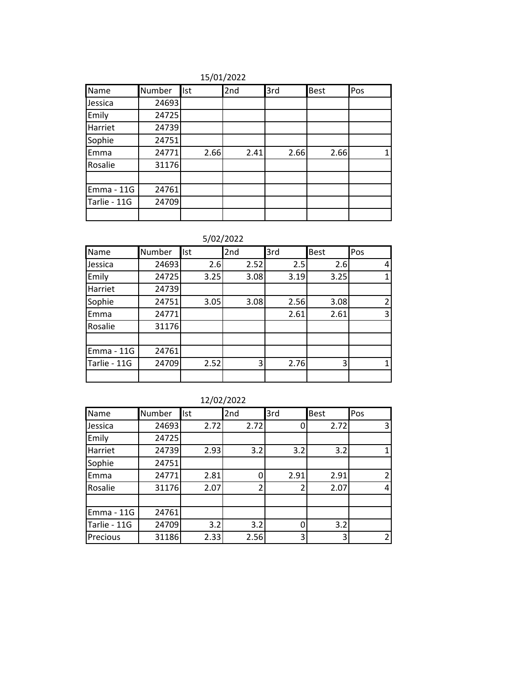15/01/2022

| Name         | Number | Ist  | 2nd  | 3rd  | <b>Best</b> | Pos |
|--------------|--------|------|------|------|-------------|-----|
| Jessica      | 24693  |      |      |      |             |     |
| Emily        | 24725  |      |      |      |             |     |
| Harriet      | 24739  |      |      |      |             |     |
| Sophie       | 24751  |      |      |      |             |     |
| Emma         | 24771  | 2.66 | 2.41 | 2.66 | 2.66        |     |
| Rosalie      | 31176  |      |      |      |             |     |
|              |        |      |      |      |             |     |
| Emma - 11G   | 24761  |      |      |      |             |     |
| Tarlie - 11G | 24709  |      |      |      |             |     |
|              |        |      |      |      |             |     |

5/02/2022

| Name         | Number | Ist  | 2nd  | 3rd  | <b>Best</b> | Pos            |
|--------------|--------|------|------|------|-------------|----------------|
| Jessica      | 24693  | 2.6  | 2.52 | 2.5  | 2.6         | 4              |
| Emily        | 24725  | 3.25 | 3.08 | 3.19 | 3.25        |                |
| Harriet      | 24739  |      |      |      |             |                |
| Sophie       | 24751  | 3.05 | 3.08 | 2.56 | 3.08        | $\mathfrak{p}$ |
| Emma         | 24771  |      |      | 2.61 | 2.61        | 3              |
| Rosalie      | 31176  |      |      |      |             |                |
|              |        |      |      |      |             |                |
| Emma - 11G   | 24761  |      |      |      |             |                |
| Tarlie - 11G | 24709  | 2.52 | 3    | 2.76 | 3           |                |
|              |        |      |      |      |             |                |

| Name         | Number | <b>Ist</b> | 2nd  | 3rd  | <b>Best</b> | Pos            |
|--------------|--------|------------|------|------|-------------|----------------|
| Jessica      | 24693  | 2.72       | 2.72 | O    | 2.72        | 3              |
| Emily        | 24725  |            |      |      |             |                |
| Harriet      | 24739  | 2.93       | 3.2  | 3.2  | 3.2         |                |
| Sophie       | 24751  |            |      |      |             |                |
| Emma         | 24771  | 2.81       |      | 2.91 | 2.91        |                |
| Rosalie      | 31176  | 2.07       |      |      | 2.07        | 4              |
|              |        |            |      |      |             |                |
| Emma - 11G   | 24761  |            |      |      |             |                |
| Tarlie - 11G | 24709  | 3.2        | 3.2  |      | 3.2         |                |
| Precious     | 31186  | 2.33       | 2.56 | 3    | 3           | $\overline{2}$ |

| 12/02/2022 |  |
|------------|--|
|            |  |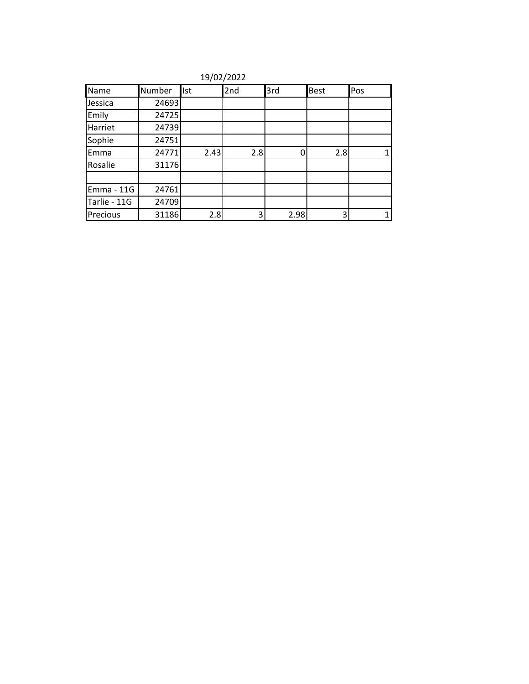| Name         | Number | Ist  | 2nd | 3rd  | <b>Best</b> | Pos |
|--------------|--------|------|-----|------|-------------|-----|
| Jessica      | 24693  |      |     |      |             |     |
| Emily        | 24725  |      |     |      |             |     |
| Harriet      | 24739  |      |     |      |             |     |
| Sophie       | 24751  |      |     |      |             |     |
| Emma         | 24771  | 2.43 | 2.8 | C    | 2.8         |     |
| Rosalie      | 31176  |      |     |      |             |     |
|              |        |      |     |      |             |     |
| Emma - 11G   | 24761  |      |     |      |             |     |
| Tarlie - 11G | 24709  |      |     |      |             |     |
| Precious     | 31186  | 2.8  | 3   | 2.98 |             |     |

19/02/2022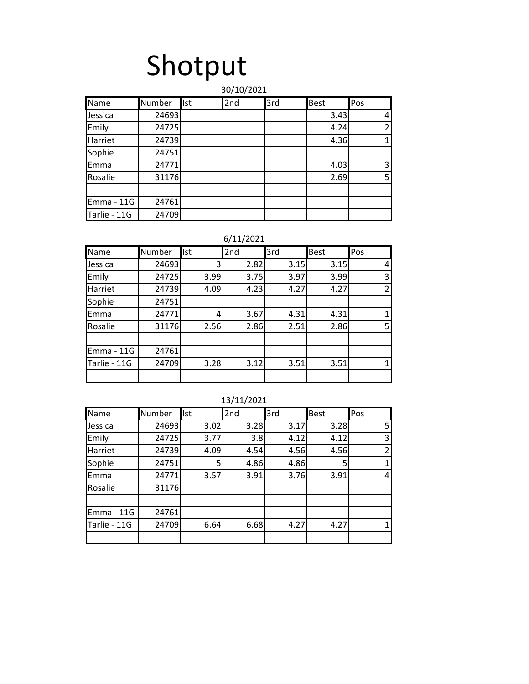# Shotput

### Name Number Ist 2nd 3rd Best Pos Jessica | 24693 | | | | | 3.43 | 4 Emily | 24725 | | | | 4.24 | 2 Harriet | 24739 | | | | 4.36 | 1 Sophie 24751 Emma | 24771 | | | | | 4.03 | 3 Rosalie | 31176 | | | | | | | | 2.69 | | 5 Emma - 11G 24761 Tarlie - 11G 24709 30/10/2021

### 6/11/2021

| Name         | Number | <b>Ist</b> | 2nd  | 3rd  | <b>Best</b> | Pos |
|--------------|--------|------------|------|------|-------------|-----|
| Jessica      | 24693  | 3          | 2.82 | 3.15 | 3.15        | 4   |
| Emily        | 24725  | 3.99       | 3.75 | 3.97 | 3.99        | 3   |
| Harriet      | 24739  | 4.09       | 4.23 | 4.27 | 4.27        | 2   |
| Sophie       | 24751  |            |      |      |             |     |
| Emma         | 24771  | 4          | 3.67 | 4.31 | 4.31        |     |
| Rosalie      | 31176  | 2.56       | 2.86 | 2.51 | 2.86        | 5   |
|              |        |            |      |      |             |     |
| Emma - 11G   | 24761  |            |      |      |             |     |
| Tarlie - 11G | 24709  | 3.28       | 3.12 | 3.51 | 3.51        |     |
|              |        |            |      |      |             |     |

| Name         | Number | Ist  | 2nd  | 3rd  | <b>Best</b> | Pos            |
|--------------|--------|------|------|------|-------------|----------------|
| Jessica      | 24693  | 3.02 | 3.28 | 3.17 | 3.28        | 5              |
| Emily        | 24725  | 3.77 | 3.8  | 4.12 | 4.12        | 3              |
| Harriet      | 24739  | 4.09 | 4.54 | 4.56 | 4.56        | $\overline{2}$ |
| Sophie       | 24751  | 5    | 4.86 | 4.86 | 5           | 1              |
| Emma         | 24771  | 3.57 | 3.91 | 3.76 | 3.91        | 4              |
| Rosalie      | 31176  |      |      |      |             |                |
|              |        |      |      |      |             |                |
| Emma - 11G   | 24761  |      |      |      |             |                |
| Tarlie - 11G | 24709  | 6.64 | 6.68 | 4.27 | 4.27        | 1              |
|              |        |      |      |      |             |                |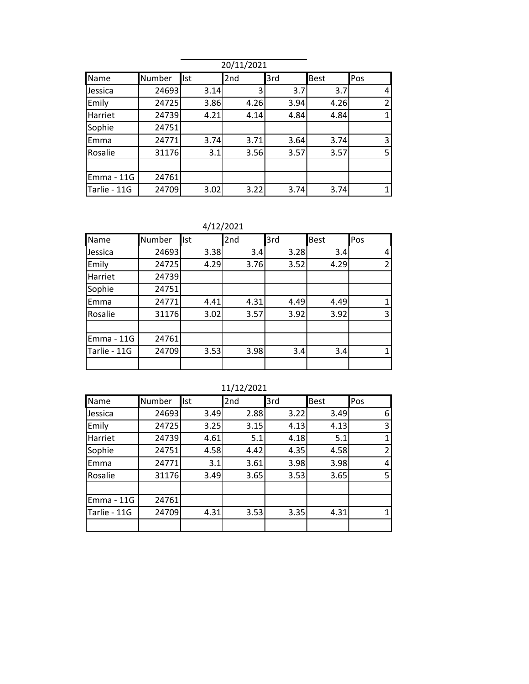|              |        |            | 20/11/2021 |      |             |                |
|--------------|--------|------------|------------|------|-------------|----------------|
| Name         | Number | <b>Ist</b> | 2nd        | 3rd  | <b>Best</b> | Pos            |
| Jessica      | 24693  | 3.14       | 3          | 3.7  | 3.7         | 4              |
| Emily        | 24725  | 3.86       | 4.26       | 3.94 | 4.26        | $\overline{2}$ |
| Harriet      | 24739  | 4.21       | 4.14       | 4.84 | 4.84        |                |
| Sophie       | 24751  |            |            |      |             |                |
| Emma         | 24771  | 3.74       | 3.71       | 3.64 | 3.74        | 3              |
| Rosalie      | 31176  | 3.1        | 3.56       | 3.57 | 3.57        | 5              |
|              |        |            |            |      |             |                |
| Emma - 11G   | 24761  |            |            |      |             |                |
| Tarlie - 11G | 24709  | 3.02       | 3.22       | 3.74 | 3.74        |                |

4/12/2021

| Name         | Number | Ist  | 2nd  | 3rd  | <b>Best</b> | Pos            |
|--------------|--------|------|------|------|-------------|----------------|
| Jessica      | 24693  | 3.38 | 3.4  | 3.28 | 3.4         | 4              |
| Emily        | 24725  | 4.29 | 3.76 | 3.52 | 4.29        | $\mathfrak{p}$ |
| Harriet      | 24739  |      |      |      |             |                |
| Sophie       | 24751  |      |      |      |             |                |
| Emma         | 24771  | 4.41 | 4.31 | 4.49 | 4.49        |                |
| Rosalie      | 31176  | 3.02 | 3.57 | 3.92 | 3.92        | 3              |
|              |        |      |      |      |             |                |
| Emma - 11G   | 24761  |      |      |      |             |                |
| Tarlie - 11G | 24709  | 3.53 | 3.98 | 3.4  | 3.4         |                |
|              |        |      |      |      |             |                |

11/12/2021

| Name         | Number | Ist  | 2nd  | 3rd  | <b>Best</b> | Pos            |
|--------------|--------|------|------|------|-------------|----------------|
| Jessica      | 24693  | 3.49 | 2.88 | 3.22 | 3.49        | 6              |
| Emily        | 24725  | 3.25 | 3.15 | 4.13 | 4.13        | 3              |
| Harriet      | 24739  | 4.61 | 5.1  | 4.18 | 5.1         | $\mathbf{1}$   |
| Sophie       | 24751  | 4.58 | 4.42 | 4.35 | 4.58        | $\overline{2}$ |
| Emma         | 24771  | 3.1  | 3.61 | 3.98 | 3.98        | 4              |
| Rosalie      | 31176  | 3.49 | 3.65 | 3.53 | 3.65        | 5              |
|              |        |      |      |      |             |                |
| Emma - 11G   | 24761  |      |      |      |             |                |
| Tarlie - 11G | 24709  | 4.31 | 3.53 | 3.35 | 4.31        | $\mathbf{1}$   |
|              |        |      |      |      |             |                |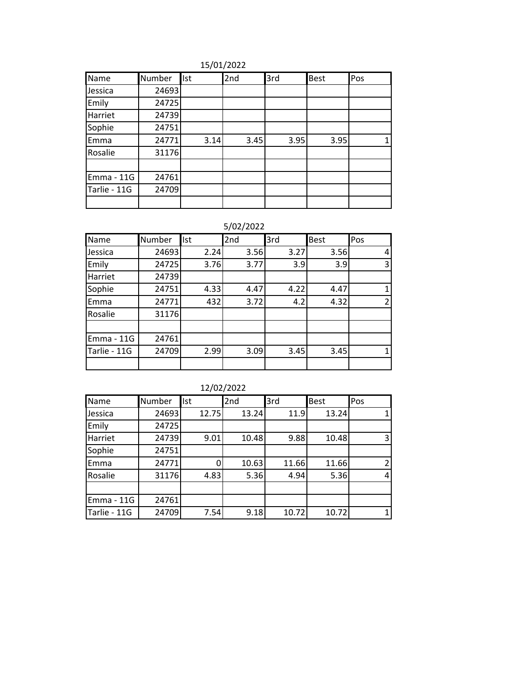15/01/2022

| Name         | Number | <b>Ist</b> | 2nd  | 3rd  | <b>Best</b> | Pos |
|--------------|--------|------------|------|------|-------------|-----|
| Jessica      | 24693  |            |      |      |             |     |
| Emily        | 24725  |            |      |      |             |     |
| Harriet      | 24739  |            |      |      |             |     |
| Sophie       | 24751  |            |      |      |             |     |
| Emma         | 24771  | 3.14       | 3.45 | 3.95 | 3.95        |     |
| Rosalie      | 31176  |            |      |      |             |     |
|              |        |            |      |      |             |     |
| Emma - 11G   | 24761  |            |      |      |             |     |
| Tarlie - 11G | 24709  |            |      |      |             |     |
|              |        |            |      |      |             |     |

| Name         | Number | Ist  | 2nd  | 3rd  | <b>Best</b> | Pos |
|--------------|--------|------|------|------|-------------|-----|
| Jessica      | 24693  | 2.24 | 3.56 | 3.27 | 3.56        | 4   |
| Emily        | 24725  | 3.76 | 3.77 | 3.9  | 3.9         | 3   |
| Harriet      | 24739  |      |      |      |             |     |
| Sophie       | 24751  | 4.33 | 4.47 | 4.22 | 4.47        |     |
| Emma         | 24771  | 432  | 3.72 | 4.2  | 4.32        |     |
| Rosalie      | 31176  |      |      |      |             |     |
|              |        |      |      |      |             |     |
| Emma - 11G   | 24761  |      |      |      |             |     |
| Tarlie - 11G | 24709  | 2.99 | 3.09 | 3.45 | 3.45        |     |
|              |        |      |      |      |             |     |

|              | 12/02/2022 |            |       |       |             |                |  |  |
|--------------|------------|------------|-------|-------|-------------|----------------|--|--|
| Name         | Number     | <b>Ist</b> | 2nd   | 3rd   | <b>Best</b> | Pos            |  |  |
| Jessica      | 24693      | 12.75      | 13.24 | 11.9  | 13.24       | $\mathbf{1}$   |  |  |
| Emily        | 24725      |            |       |       |             |                |  |  |
| Harriet      | 24739      | 9.01       | 10.48 | 9.88  | 10.48       | 3              |  |  |
| Sophie       | 24751      |            |       |       |             |                |  |  |
| Emma         | 24771      | 0          | 10.63 | 11.66 | 11.66       | $\overline{2}$ |  |  |
| Rosalie      | 31176      | 4.83       | 5.36  | 4.94  | 5.36        | 4              |  |  |
|              |            |            |       |       |             |                |  |  |
| Emma - 11G   | 24761      |            |       |       |             |                |  |  |
| Tarlie - 11G | 24709      | 7.54       | 9.18  | 10.72 | 10.72       | $\mathbf{1}$   |  |  |